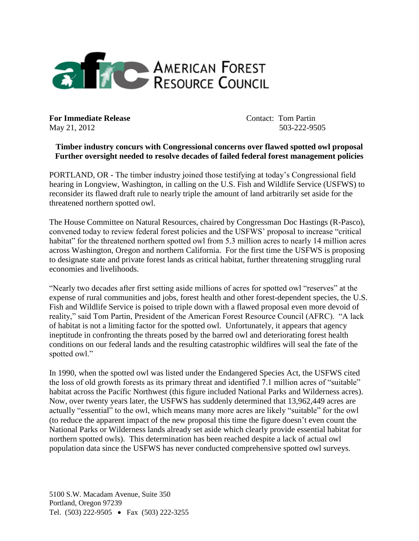

**For Immediate Release Contact: Tom Partin** May 21, 2012 503-222-9505

## **Timber industry concurs with Congressional concerns over flawed spotted owl proposal Further oversight needed to resolve decades of failed federal forest management policies**

PORTLAND, OR - The timber industry joined those testifying at today's Congressional field hearing in Longview, Washington, in calling on the U.S. Fish and Wildlife Service (USFWS) to reconsider its flawed draft rule to nearly triple the amount of land arbitrarily set aside for the threatened northern spotted owl.

The House Committee on Natural Resources, chaired by Congressman Doc Hastings (R-Pasco), convened today to review federal forest policies and the USFWS' proposal to increase "critical habitat" for the threatened northern spotted owl from 5.3 million acres to nearly 14 million acres across Washington, Oregon and northern California. For the first time the USFWS is proposing to designate state and private forest lands as critical habitat, further threatening struggling rural economies and livelihoods.

"Nearly two decades after first setting aside millions of acres for spotted owl "reserves" at the expense of rural communities and jobs, forest health and other forest-dependent species, the U.S. Fish and Wildlife Service is poised to triple down with a flawed proposal even more devoid of reality," said Tom Partin, President of the American Forest Resource Council (AFRC). "A lack of habitat is not a limiting factor for the spotted owl. Unfortunately, it appears that agency ineptitude in confronting the threats posed by the barred owl and deteriorating forest health conditions on our federal lands and the resulting catastrophic wildfires will seal the fate of the spotted owl."

In 1990, when the spotted owl was listed under the Endangered Species Act, the USFWS cited the loss of old growth forests as its primary threat and identified 7.1 million acres of "suitable" habitat across the Pacific Northwest (this figure included National Parks and Wilderness acres). Now, over twenty years later, the USFWS has suddenly determined that 13,962,449 acres are actually "essential" to the owl, which means many more acres are likely "suitable" for the owl (to reduce the apparent impact of the new proposal this time the figure doesn't even count the National Parks or Wilderness lands already set aside which clearly provide essential habitat for northern spotted owls). This determination has been reached despite a lack of actual owl population data since the USFWS has never conducted comprehensive spotted owl surveys.

5100 S.W. Macadam Avenue, Suite 350 Portland, Oregon 97239 Tel. (503) 222-9505 • Fax (503) 222-3255